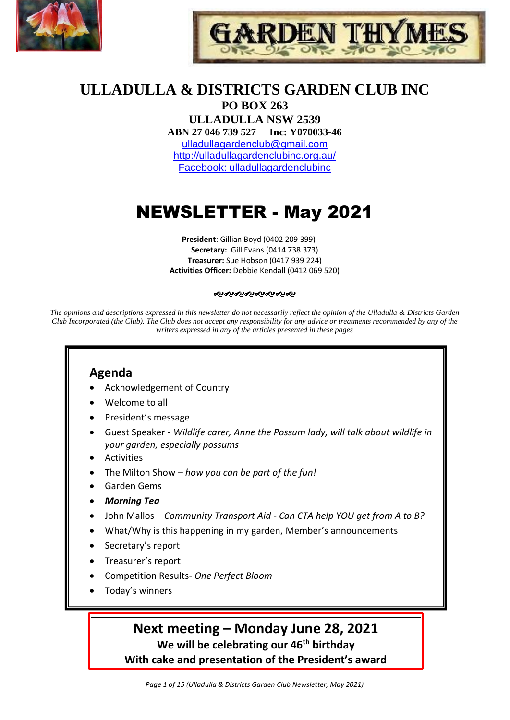



# **ULLADULLA & DISTRICTS GARDEN CLUB INC**

**PO BOX 263 ULLADULLA NSW 2539 ABN 27 046 739 527 Inc: Y070033-46**  [ulladullagardenclub@gmail.com](mailto:ulladullagardenclub@gmail.com) <http://ulladullagardenclubinc.org.au/> Facebook: ulladullagardenclubinc

# NEWSLETTER - May 2021

**President**: Gillian Boyd (0402 209 399) **Secretary:** Gill Evans (0414 738 373) **Treasurer:** Sue Hobson (0417 939 224) **Activities Officer:** Debbie Kendall (0412 069 520)

#### જાજાજાજાજાજાજાજ

*The opinions and descriptions expressed in this newsletter do not necessarily reflect the opinion of the Ulladulla & Districts Garden Club Incorporated (the Club). The Club does not accept any responsibility for any advice or treatments recommended by any of the writers expressed in any of the articles presented in these pages*

## **Agenda**

- Acknowledgement of Country
- Welcome to all
- President's message
- Guest Speaker *Wildlife carer, Anne the Possum lady, will talk about wildlife in your garden, especially possums*
- **Activities**
- The Milton Show *how you can be part of the fun!*
- Garden Gems
- *Morning Tea*
- John Mallos *Community Transport Aid - Can CTA help YOU get from A to B?*
- What/Why is this happening in my garden, Member's announcements
- Secretary's report
- Treasurer's report
- Competition Results- *One Perfect Bloom*
- Today's winners

## **Next meeting – Monday June 28, 2021**

**We will be celebrating our 46th birthday**

**With cake and presentation of the President's award**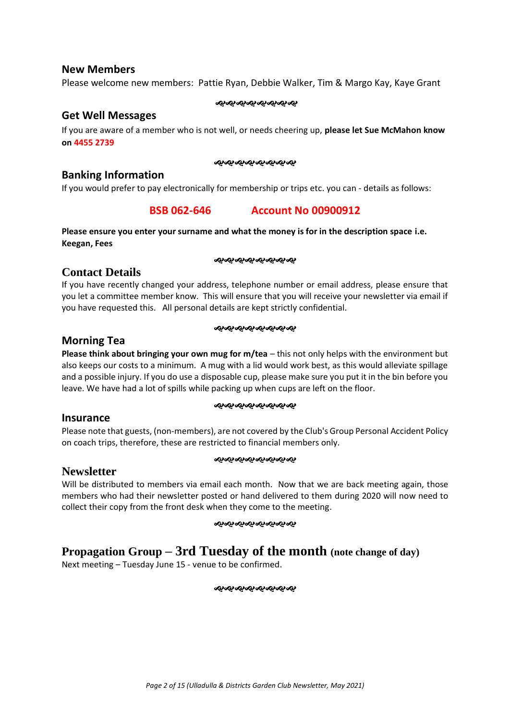#### **New Members**

Please welcome new members: Pattie Ryan, Debbie Walker, Tim & Margo Kay, Kaye Grant

#### જાજાજાજાજાજાજાજા

#### **Get Well Messages**

If you are aware of a member who is not well, or needs cheering up, **please let Sue McMahon know on 4455 2739**

#### જાજાજાજાજાજાજાજ

#### **Banking Information**

If you would prefer to pay electronically for membership or trips etc. you can - details as follows:

### **BSB 062-646 Account No 00900912**

**Please ensure you enter your surname and what the money is for in the description space i.e. Keegan, Fees**

#### ೲೲೲೲೲೲೲೲ

### **Contact Details**

If you have recently changed your address, telephone number or email address, please ensure that you let a committee member know. This will ensure that you will receive your newsletter via email if you have requested this. All personal details are kept strictly confidential.

#### જાજાજાજાજાજાજાજ

### **Morning Tea**

**Please think about bringing your own mug for m/tea** – this not only helps with the environment but also keeps our costs to a minimum. A mug with a lid would work best, as this would alleviate spillage and a possible injury. If you do use a disposable cup, please make sure you put it in the bin before you leave. We have had a lot of spills while packing up when cups are left on the floor.

#### 

#### **Insurance**

Please note that guests, (non-members), are not covered by the Club's Group Personal Accident Policy on coach trips, therefore, these are restricted to financial members only.

#### જાજાજાજાજાજાજાજા

### **Newsletter**

Will be distributed to members via email each month. Now that we are back meeting again, those members who had their newsletter posted or hand delivered to them during 2020 will now need to collect their copy from the front desk when they come to the meeting.

#### ઌ૰ઌ૰ઌ૰ઌ૰ઌ૰ઌ૰ઌ

## **Propagation Group – 3rd Tuesday of the month (note change of day)**

Next meeting – Tuesday June 15 - venue to be confirmed.

ઌ૰ઌ૰ઌ૰ઌ૰ઌ૰ઌ૰ઌ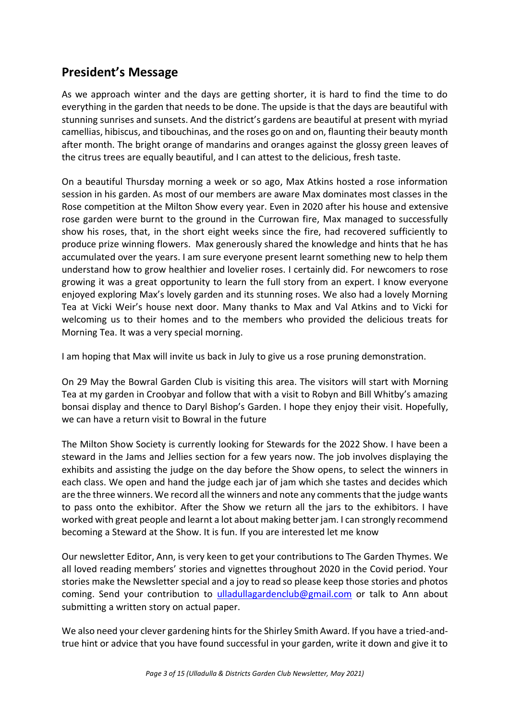## **President's Message**

As we approach winter and the days are getting shorter, it is hard to find the time to do everything in the garden that needs to be done. The upside is that the days are beautiful with stunning sunrises and sunsets. And the district's gardens are beautiful at present with myriad camellias, hibiscus, and tibouchinas, and the roses go on and on, flaunting their beauty month after month. The bright orange of mandarins and oranges against the glossy green leaves of the citrus trees are equally beautiful, and I can attest to the delicious, fresh taste.

On a beautiful Thursday morning a week or so ago, Max Atkins hosted a rose information session in his garden. As most of our members are aware Max dominates most classes in the Rose competition at the Milton Show every year. Even in 2020 after his house and extensive rose garden were burnt to the ground in the Currowan fire, Max managed to successfully show his roses, that, in the short eight weeks since the fire, had recovered sufficiently to produce prize winning flowers. Max generously shared the knowledge and hints that he has accumulated over the years. I am sure everyone present learnt something new to help them understand how to grow healthier and lovelier roses. I certainly did. For newcomers to rose growing it was a great opportunity to learn the full story from an expert. I know everyone enjoyed exploring Max's lovely garden and its stunning roses. We also had a lovely Morning Tea at Vicki Weir's house next door. Many thanks to Max and Val Atkins and to Vicki for welcoming us to their homes and to the members who provided the delicious treats for Morning Tea. It was a very special morning.

I am hoping that Max will invite us back in July to give us a rose pruning demonstration.

On 29 May the Bowral Garden Club is visiting this area. The visitors will start with Morning Tea at my garden in Croobyar and follow that with a visit to Robyn and Bill Whitby's amazing bonsai display and thence to Daryl Bishop's Garden. I hope they enjoy their visit. Hopefully, we can have a return visit to Bowral in the future

The Milton Show Society is currently looking for Stewards for the 2022 Show. I have been a steward in the Jams and Jellies section for a few years now. The job involves displaying the exhibits and assisting the judge on the day before the Show opens, to select the winners in each class. We open and hand the judge each jar of jam which she tastes and decides which are the three winners. We record all the winners and note any comments that the judge wants to pass onto the exhibitor. After the Show we return all the jars to the exhibitors. I have worked with great people and learnt a lot about making better jam. I can strongly recommend becoming a Steward at the Show. It is fun. If you are interested let me know

Our newsletter Editor, Ann, is very keen to get your contributions to The Garden Thymes. We all loved reading members' stories and vignettes throughout 2020 in the Covid period. Your stories make the Newsletter special and a joy to read so please keep those stories and photos coming. Send your contribution to [ulladullagardenclub@gmail.com](mailto:ulladullagardenclub@gmail.com) or talk to Ann about submitting a written story on actual paper.

We also need your clever gardening hints for the Shirley Smith Award. If you have a tried-andtrue hint or advice that you have found successful in your garden, write it down and give it to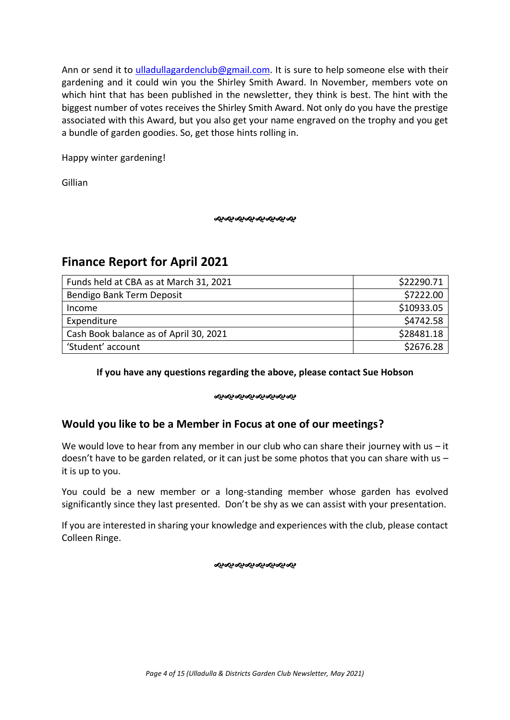Ann or send it to [ulladullagardenclub@gmail.com.](mailto:ulladullagardenclub@gmail.com) It is sure to help someone else with their gardening and it could win you the Shirley Smith Award. In November, members vote on which hint that has been published in the newsletter, they think is best. The hint with the biggest number of votes receives the Shirley Smith Award. Not only do you have the prestige associated with this Award, but you also get your name engraved on the trophy and you get a bundle of garden goodies. So, get those hints rolling in.

Happy winter gardening!

Gillian

ઌ૰ઌ૰ઌ૰ઌ૰ઌ૰ઌ૰ઌ

## **Finance Report for April 2021**

| Funds held at CBA as at March 31, 2021 | \$22290.71 |
|----------------------------------------|------------|
| Bendigo Bank Term Deposit              | \$7222.00  |
| Income                                 | \$10933.05 |
| Expenditure                            | \$4742.58  |
| Cash Book balance as of April 30, 2021 | \$28481.18 |
| 'Student' account                      | \$2676.28  |

### **If you have any questions regarding the above, please contact Sue Hobson**

#### જાજ્જ્*જ્જ્જ્જ્જ્જ્જ્*

## **Would you like to be a Member in Focus at one of our meetings?**

We would love to hear from any member in our club who can share their journey with us  $-$  it doesn't have to be garden related, or it can just be some photos that you can share with us  $$ it is up to you.

You could be a new member or a long-standing member whose garden has evolved significantly since they last presented. Don't be shy as we can assist with your presentation.

If you are interested in sharing your knowledge and experiences with the club, please contact Colleen Ringe.

ન્ઠન્ઠન્ઠન્ઠન્ઠન્ઠન્ઠન્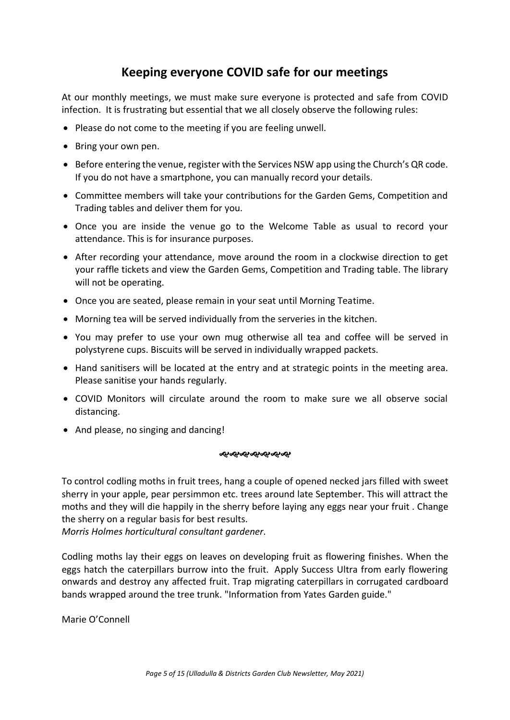## **Keeping everyone COVID safe for our meetings**

At our monthly meetings, we must make sure everyone is protected and safe from COVID infection. It is frustrating but essential that we all closely observe the following rules:

- Please do not come to the meeting if you are feeling unwell.
- Bring your own pen.
- Before entering the venue, register with the Services NSW app using the Church's QR code. If you do not have a smartphone, you can manually record your details.
- Committee members will take your contributions for the Garden Gems, Competition and Trading tables and deliver them for you.
- Once you are inside the venue go to the Welcome Table as usual to record your attendance. This is for insurance purposes.
- After recording your attendance, move around the room in a clockwise direction to get your raffle tickets and view the Garden Gems, Competition and Trading table. The library will not be operating.
- Once you are seated, please remain in your seat until Morning Teatime.
- Morning tea will be served individually from the serveries in the kitchen.
- You may prefer to use your own mug otherwise all tea and coffee will be served in polystyrene cups. Biscuits will be served in individually wrapped packets.
- Hand sanitisers will be located at the entry and at strategic points in the meeting area. Please sanitise your hands regularly.
- COVID Monitors will circulate around the room to make sure we all observe social distancing.
- And please, no singing and dancing!

#### ઌ૰ઌ૰ઌ૰ઌ૰ઌ૰ઌ

To control codling moths in fruit trees, hang a couple of opened necked jars filled with sweet sherry in your apple, pear persimmon etc. trees around late September. This will attract the moths and they will die happily in the sherry before laying any eggs near your fruit . Change the sherry on a regular basis for best results.

*Morris Holmes horticultural consultant gardener*.

Codling moths lay their eggs on leaves on developing fruit as flowering finishes. When the eggs hatch the caterpillars burrow into the fruit. Apply Success Ultra from early flowering onwards and destroy any affected fruit. Trap migrating caterpillars in corrugated cardboard bands wrapped around the tree trunk. "Information from Yates Garden guide."

Marie O'Connell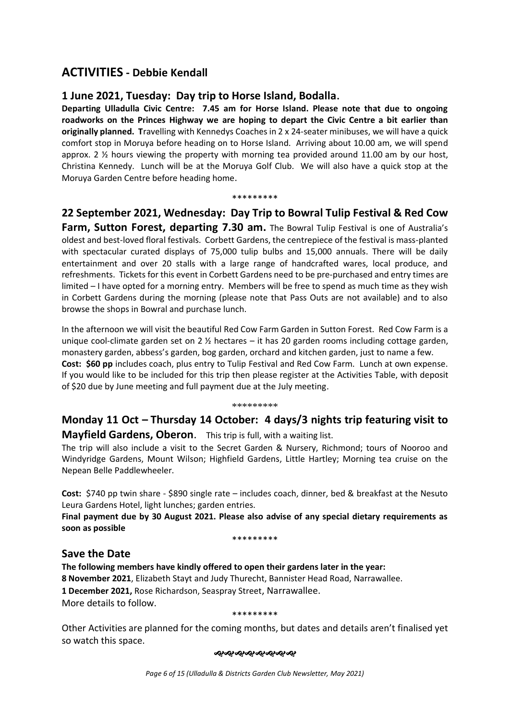## **ACTIVITIES - Debbie Kendall**

### **1 June 2021, Tuesday: Day trip to Horse Island, Bodalla.**

**Departing Ulladulla Civic Centre: 7.45 am for Horse Island. Please note that due to ongoing roadworks on the Princes Highway we are hoping to depart the Civic Centre a bit earlier than originally planned. T**ravelling with Kennedys Coaches in 2 x 24-seater minibuses, we will have a quick comfort stop in Moruya before heading on to Horse Island. Arriving about 10.00 am, we will spend approx. 2  $\frac{1}{2}$  hours viewing the property with morning tea provided around 11.00 am by our host, Christina Kennedy. Lunch will be at the Moruya Golf Club. We will also have a quick stop at the Moruya Garden Centre before heading home.

#### \*\*\*\*\*\*\*\*\*

## **22 September 2021, Wednesday: Day Trip to Bowral Tulip Festival & Red Cow**

**Farm, Sutton Forest, departing 7.30 am.** The Bowral Tulip Festival is one of Australia's oldest and best-loved floral festivals. Corbett Gardens, the centrepiece of the festival is mass-planted with spectacular curated displays of 75,000 tulip bulbs and 15,000 annuals. There will be daily entertainment and over 20 stalls with a large range of handcrafted wares, local produce, and refreshments. Tickets for this event in Corbett Gardens need to be pre-purchased and entry times are limited – I have opted for a morning entry. Members will be free to spend as much time as they wish in Corbett Gardens during the morning (please note that Pass Outs are not available) and to also browse the shops in Bowral and purchase lunch.

In the afternoon we will visit the beautiful Red Cow Farm Garden in Sutton Forest. Red Cow Farm is a unique cool-climate garden set on 2 ½ hectares – it has 20 garden rooms including cottage garden, monastery garden, abbess's garden, bog garden, orchard and kitchen garden, just to name a few. **Cost: \$60 pp** includes coach, plus entry to Tulip Festival and Red Cow Farm. Lunch at own expense. If you would like to be included for this trip then please register at the Activities Table, with deposit of \$20 due by June meeting and full payment due at the July meeting.

#### \*\*\*\*\*\*\*\*\*

## **Monday 11 Oct – Thursday 14 October: 4 days/3 nights trip featuring visit to Mayfield Gardens, Oberon**. This trip is full, with a waiting list.

The trip will also include a visit to the Secret Garden & Nursery, Richmond; tours of Nooroo and Windyridge Gardens, Mount Wilson; Highfield Gardens, Little Hartley; Morning tea cruise on the Nepean Belle Paddlewheeler.

**Cost:** \$740 pp twin share - \$890 single rate – includes coach, dinner, bed & breakfast at the Nesuto Leura Gardens Hotel, light lunches; garden entries.

**Final payment due by 30 August 2021. Please also advise of any special dietary requirements as soon as possible**

\*\*\*\*\*\*\*\*\*

### **Save the Date**

**The following members have kindly offered to open their gardens later in the year: 8 November 2021**, Elizabeth Stayt and Judy Thurecht, Bannister Head Road, Narrawallee. **1 December 2021,** Rose Richardson, Seaspray Street, Narrawallee. More details to follow.

\*\*\*\*\*\*\*\*\*

Other Activities are planned for the coming months, but dates and details aren't finalised yet so watch this space.

#### ઌ૰ૡ૰ૡ૰ૡ૰ૡ૰ૡ૰ૡ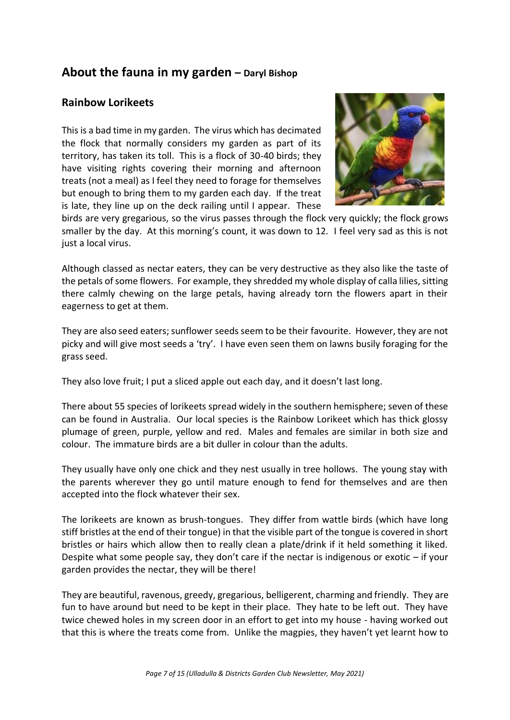## **About the fauna in my garden – Daryl Bishop**

### **Rainbow Lorikeets**

This is a bad time in my garden. The virus which has decimated the flock that normally considers my garden as part of its territory, has taken its toll. This is a flock of 30-40 birds; they have visiting rights covering their morning and afternoon treats (not a meal) as I feel they need to forage for themselves but enough to bring them to my garden each day. If the treat is late, they line up on the deck railing until I appear. These



birds are very gregarious, so the virus passes through the flock very quickly; the flock grows smaller by the day. At this morning's count, it was down to 12. I feel very sad as this is not just a local virus.

Although classed as nectar eaters, they can be very destructive as they also like the taste of the petals of some flowers. For example, they shredded my whole display of calla lilies, sitting there calmly chewing on the large petals, having already torn the flowers apart in their eagerness to get at them.

They are also seed eaters; sunflower seeds seem to be their favourite. However, they are not picky and will give most seeds a 'try'. I have even seen them on lawns busily foraging for the grass seed.

They also love fruit; I put a sliced apple out each day, and it doesn't last long.

There about 55 species of lorikeets spread widely in the southern hemisphere; seven of these can be found in Australia. Our local species is the Rainbow Lorikeet which has thick glossy plumage of green, purple, yellow and red. Males and females are similar in both size and colour. The immature birds are a bit duller in colour than the adults.

They usually have only one chick and they nest usually in tree hollows. The young stay with the parents wherever they go until mature enough to fend for themselves and are then accepted into the flock whatever their sex.

The lorikeets are known as brush-tongues. They differ from wattle birds (which have long stiff bristles at the end of their tongue) in that the visible part of the tongue is covered in short bristles or hairs which allow then to really clean a plate/drink if it held something it liked. Despite what some people say, they don't care if the nectar is indigenous or exotic – if your garden provides the nectar, they will be there!

They are beautiful, ravenous, greedy, gregarious, belligerent, charming and friendly. They are fun to have around but need to be kept in their place. They hate to be left out. They have twice chewed holes in my screen door in an effort to get into my house - having worked out that this is where the treats come from. Unlike the magpies, they haven't yet learnt how to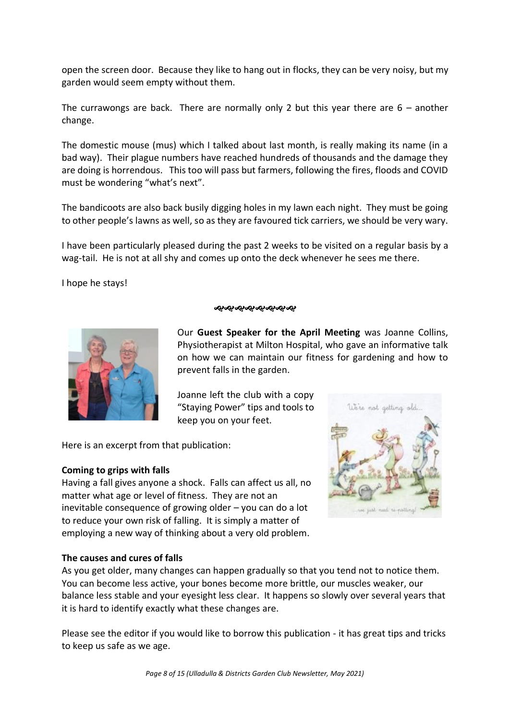open the screen door. Because they like to hang out in flocks, they can be very noisy, but my garden would seem empty without them.

The currawongs are back. There are normally only 2 but this year there are  $6 -$  another change.

The domestic mouse (mus) which I talked about last month, is really making its name (in a bad way). Their plague numbers have reached hundreds of thousands and the damage they are doing is horrendous. This too will pass but farmers, following the fires, floods and COVID must be wondering "what's next".

The bandicoots are also back busily digging holes in my lawn each night. They must be going to other people's lawns as well, so as they are favoured tick carriers, we should be very wary.

I have been particularly pleased during the past 2 weeks to be visited on a regular basis by a wag-tail. He is not at all shy and comes up onto the deck whenever he sees me there.

I hope he stays!

#### જાગ્લેગ્લેગ્લેગ્લેગ્લેગ્લે*ગ*



Our **Guest Speaker for the April Meeting** was Joanne Collins, Physiotherapist at Milton Hospital, who gave an informative talk on how we can maintain our fitness for gardening and how to prevent falls in the garden.

Joanne left the club with a copy "Staying Power" tips and tools to keep you on your feet.

Here is an excerpt from that publication:

### **Coming to grips with falls**

Having a fall gives anyone a shock. Falls can affect us all, no matter what age or level of fitness. They are not an inevitable consequence of growing older – you can do a lot to reduce your own risk of falling. It is simply a matter of employing a new way of thinking about a very old problem.



### **The causes and cures of falls**

As you get older, many changes can happen gradually so that you tend not to notice them. You can become less active, your bones become more brittle, our muscles weaker, our balance less stable and your eyesight less clear. It happens so slowly over several years that it is hard to identify exactly what these changes are.

Please see the editor if you would like to borrow this publication - it has great tips and tricks to keep us safe as we age.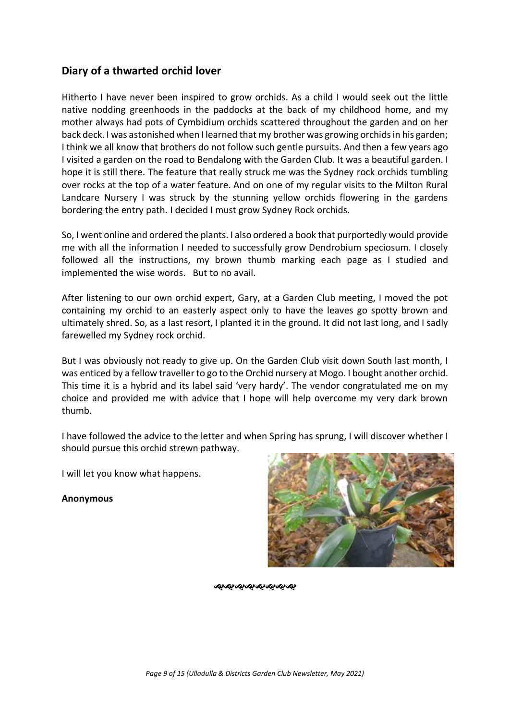## **Diary of a thwarted orchid lover**

Hitherto I have never been inspired to grow orchids. As a child I would seek out the little native nodding greenhoods in the paddocks at the back of my childhood home, and my mother always had pots of Cymbidium orchids scattered throughout the garden and on her back deck. I was astonished when I learned that my brother was growing orchids in his garden; I think we all know that brothers do not follow such gentle pursuits. And then a few years ago I visited a garden on the road to Bendalong with the Garden Club. It was a beautiful garden. I hope it is still there. The feature that really struck me was the Sydney rock orchids tumbling over rocks at the top of a water feature. And on one of my regular visits to the Milton Rural Landcare Nursery I was struck by the stunning yellow orchids flowering in the gardens bordering the entry path. I decided I must grow Sydney Rock orchids.

So, I went online and ordered the plants. I also ordered a book that purportedly would provide me with all the information I needed to successfully grow Dendrobium speciosum. I closely followed all the instructions, my brown thumb marking each page as I studied and implemented the wise words. But to no avail.

After listening to our own orchid expert, Gary, at a Garden Club meeting, I moved the pot containing my orchid to an easterly aspect only to have the leaves go spotty brown and ultimately shred. So, as a last resort, I planted it in the ground. It did not last long, and I sadly farewelled my Sydney rock orchid.

But I was obviously not ready to give up. On the Garden Club visit down South last month, I was enticed by a fellow traveller to go to the Orchid nursery at Mogo. I bought another orchid. This time it is a hybrid and its label said 'very hardy'. The vendor congratulated me on my choice and provided me with advice that I hope will help overcome my very dark brown thumb.

I have followed the advice to the letter and when Spring has sprung, I will discover whether I should pursue this orchid strewn pathway.

I will let you know what happens.

**Anonymous**



ೲೲೲೲೲೲೲೲ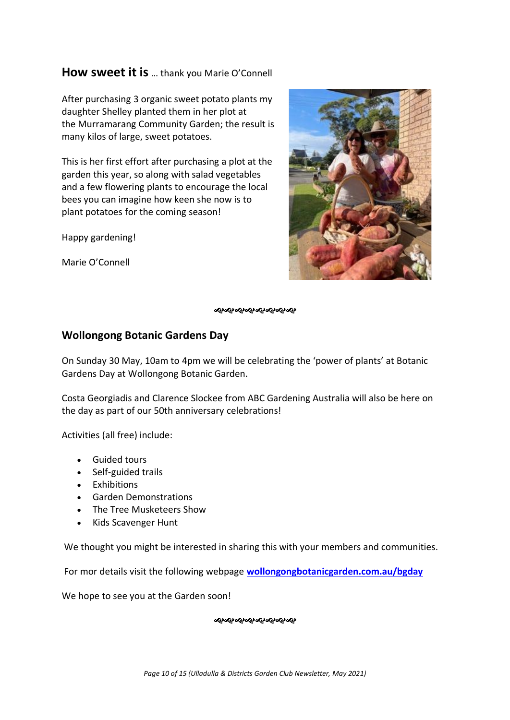## **How sweet it is** … thank you Marie O'Connell

After purchasing 3 organic sweet potato plants my daughter Shelley planted them in her plot at the Murramarang Community Garden; the result is many kilos of large, sweet potatoes.

This is her first effort after purchasing a plot at the garden this year, so along with salad vegetables and a few flowering plants to encourage the local bees you can imagine how keen she now is to plant potatoes for the coming season!

Happy gardening!

Marie O'Connell



જાજાજાજાજાજાજાજા

### **Wollongong Botanic Gardens Day**

On Sunday 30 May, 10am to 4pm we will be celebrating the 'power of plants' at Botanic Gardens Day at Wollongong Botanic Garden.

Costa Georgiadis and Clarence Slockee from ABC Gardening Australia will also be here on the day as part of our 50th anniversary celebrations!

Activities (all free) include:

- Guided tours
- Self-guided trails
- Exhibitions
- Garden Demonstrations
- The Tree Musketeers Show
- Kids Scavenger Hunt

We thought you might be interested in sharing this with your members and communities.

For mor details visit the following webpage **[wollongongbotanicgarden.com.au/bgday](https://wollongongbotanicgarden.com.au/events/botanic-gardens-day/_nocache)**

We hope to see you at the Garden soon!

ન્યુન્સન્સન્સન્સન્સન્સન્સ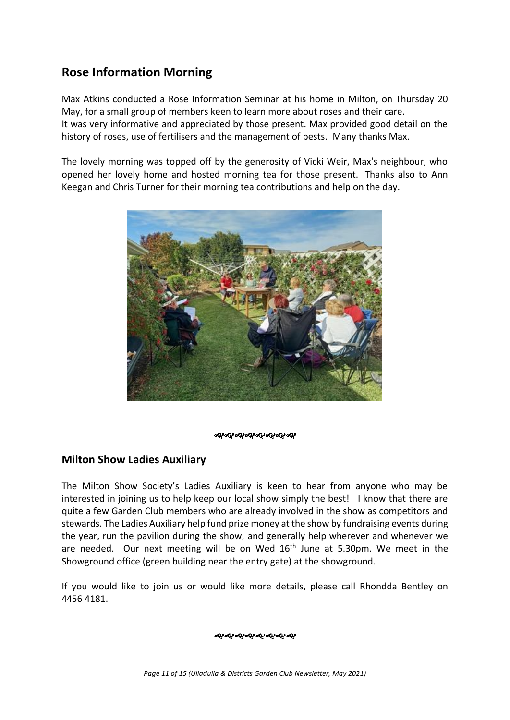## **Rose Information Morning**

Max Atkins conducted a Rose Information Seminar at his home in Milton, on Thursday 20 May, for a small group of members keen to learn more about roses and their care. It was very informative and appreciated by those present. Max provided good detail on the history of roses, use of fertilisers and the management of pests. Many thanks Max.

The lovely morning was topped off by the generosity of Vicki Weir, Max's neighbour, who opened her lovely home and hosted morning tea for those present. Thanks also to Ann Keegan and Chris Turner for their morning tea contributions and help on the day.



ન્ઠન્ઠન્ઠન્ઠન્ઠન્ઠન્ઠન્

## **Milton Show Ladies Auxiliary**

The Milton Show Society's Ladies Auxiliary is keen to hear from anyone who may be interested in joining us to help keep our local show simply the best! I know that there are quite a few Garden Club members who are already involved in the show as competitors and stewards. The Ladies Auxiliary help fund prize money at the show by fundraising events during the year, run the pavilion during the show, and generally help wherever and whenever we are needed. Our next meeting will be on Wed  $16<sup>th</sup>$  June at 5.30pm. We meet in the Showground office (green building near the entry gate) at the showground.

If you would like to join us or would like more details, please call Rhondda Bentley on 4456 4181.

ઌ૰ૡ૰ૡ૰ૡ૰ૡ૰ૡ૰ૡ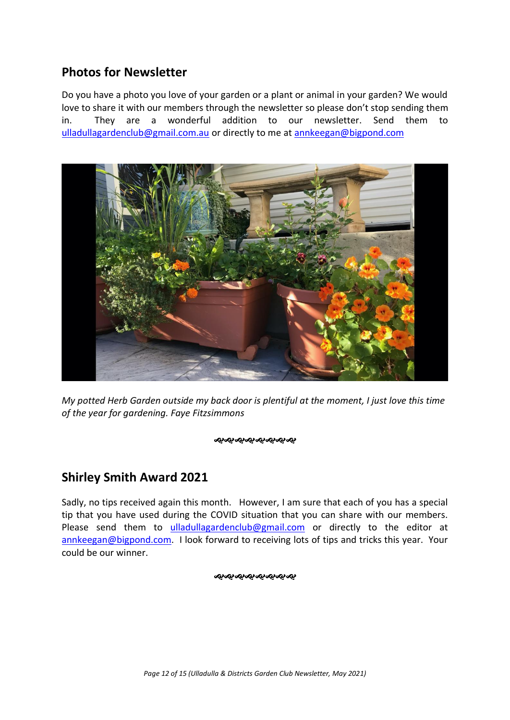## **Photos for Newsletter**

Do you have a photo you love of your garden or a plant or animal in your garden? We would love to share it with our members through the newsletter so please don't stop sending them in. They are a wonderful addition to our newsletter. Send them to [ulladullagardenclub@gmail.com.au](mailto:ulladullagardenclub@gmail.com.au) or directly to me at [annkeegan@bigpond.com](mailto:annkeegan@bigpond.com)



*My potted Herb Garden outside my back door is plentiful at the moment, I just love this time of the year for gardening. Faye Fitzsimmons*

#### **જીજીજીજીજીજીજીજી**

## **Shirley Smith Award 2021**

Sadly, no tips received again this month. However, I am sure that each of you has a special tip that you have used during the COVID situation that you can share with our members. Please send them to [ulladullagardenclub@gmail.com](mailto:ulladullagardenclub@gmail.com) or directly to the editor at [annkeegan@bigpond.com.](mailto:annkeegan@bigpond.com) I look forward to receiving lots of tips and tricks this year. Your could be our winner.

#### ઌ૰ઌ૰ઌ૰ઌ૰ઌ૰ઌ૰ઌ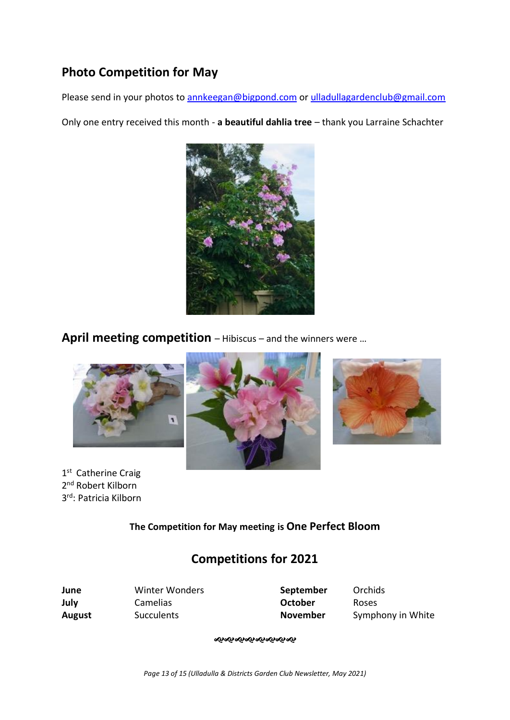## **Photo Competition for May**

Please send in your photos to [annkeegan@bigpond.com](mailto:annkeegan@bigpond.com) or [ulladullagardenclub@gmail.com](mailto:ulladullagardenclub@gmail.com)

Only one entry received this month - **a beautiful dahlia tree** – thank you Larraine Schachter



**April meeting competition** – Hibiscus – and the winners were …



1<sup>st</sup> Catherine Craig 2<sup>nd</sup> Robert Kilborn 3 rd: Patricia Kilborn





**The Competition for May meeting is One Perfect Bloom**

## **Competitions for 2021**

| June          | Winter Wonders    | September       | Orchi |
|---------------|-------------------|-----------------|-------|
| July          | Camelias          | October         | Roses |
| <b>August</b> | <b>Succulents</b> | <b>November</b> | Symp  |

**June** Winter Wonders **September** Orchids

Augusts **November** Symphony in White

**જાજાજાજાજાજાજા**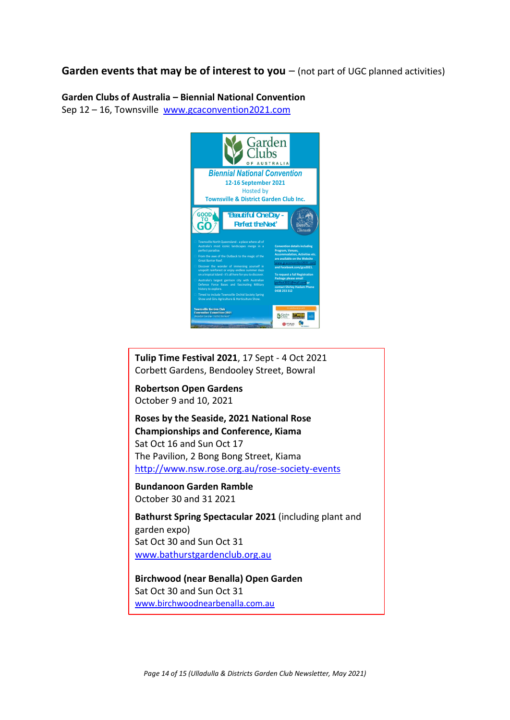### **Garden events that may be of interest to you** – (not part of UGC planned activities)

# **Garden Clubs of Australia – Biennial National Convention**

Sep 12 – 16, Townsville [www.gcaconvention2021.com](http://www.gcaconvention2021.com/)



**Tulip Time Festival 2021**, 17 Sept - 4 Oct 2021 Corbett Gardens, Bendooley Street, Bowral **Robertson Open Gardens** October 9 and 10, 2021 **Roses by the Seaside, 2021 National Rose Championships and Conference, Kiama** Sat Oct 16 and Sun Oct 17 The Pavilion, 2 Bong Bong Street, Kiama <http://www.nsw.rose.org.au/rose-society-events>

**Bundanoon Garden Ramble** October 30 and 31 2021

**Bathurst Spring Spectacular 2021** (including plant and garden expo) Sat Oct 30 and Sun Oct 31 [www.bathurstgardenclub.org.au](http://www.bathurstgardenclub.org.au/)

**Birchwood (near Benalla) Open Garden** Sat Oct 30 and Sun Oct 31 [www.birchwoodnearbenalla.com.au](http://www.birchwoodnearbenalla.com.au/)